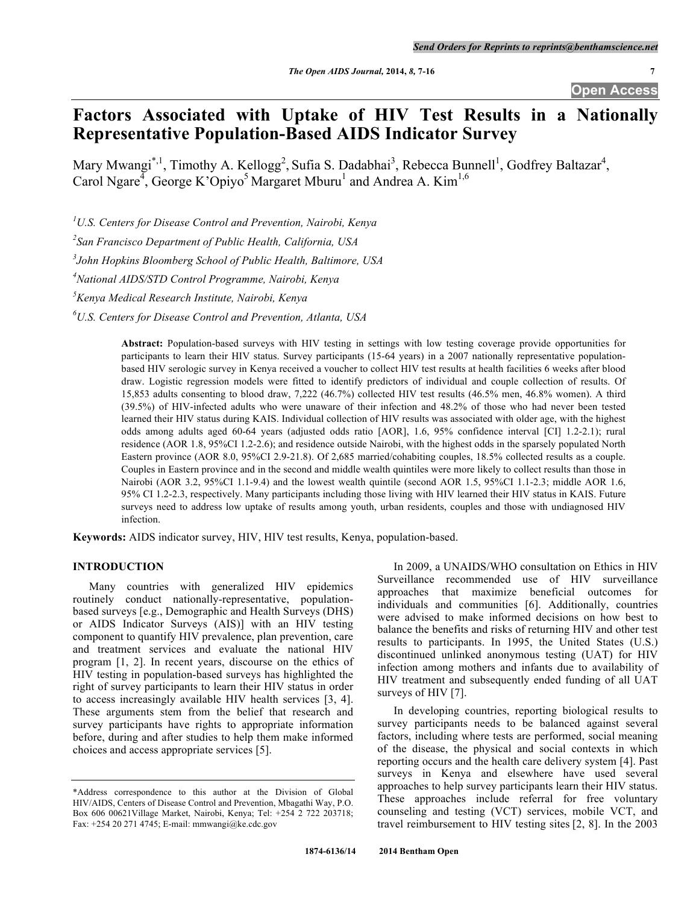**Open Access**

# **Factors Associated with Uptake of HIV Test Results in a Nationally Representative Population-Based AIDS Indicator Survey**

Mary Mwangi<sup>\*, 1</sup>, Timothy A. Kellogg<sup>2</sup>, Sufia S. Dadabhai<sup>3</sup>, Rebecca Bunnell<sup>1</sup>, Godfrey Baltazar<sup>4</sup>, Carol Ngare<sup>4</sup>, George K'Opiyo<sup>5</sup> Margaret Mburu<sup>1</sup> and Andrea A. Kim<sup>1,6</sup>

*1 U.S. Centers for Disease Control and Prevention, Nairobi, Kenya*

*2 San Francisco Department of Public Health, California, USA*

*3 John Hopkins Bloomberg School of Public Health, Baltimore, USA*

*4 National AIDS/STD Control Programme, Nairobi, Kenya*

*5 Kenya Medical Research Institute, Nairobi, Kenya*

*6 U.S. Centers for Disease Control and Prevention, Atlanta, USA*

**Abstract:** Population-based surveys with HIV testing in settings with low testing coverage provide opportunities for participants to learn their HIV status. Survey participants (15-64 years) in a 2007 nationally representative populationbased HIV serologic survey in Kenya received a voucher to collect HIV test results at health facilities 6 weeks after blood draw. Logistic regression models were fitted to identify predictors of individual and couple collection of results. Of 15,853 adults consenting to blood draw, 7,222 (46.7%) collected HIV test results (46.5% men, 46.8% women). A third (39.5%) of HIV-infected adults who were unaware of their infection and 48.2% of those who had never been tested learned their HIV status during KAIS. Individual collection of HIV results was associated with older age, with the highest odds among adults aged 60-64 years (adjusted odds ratio [AOR], 1.6, 95% confidence interval [CI] 1.2-2.1); rural residence (AOR 1.8, 95%CI 1.2-2.6); and residence outside Nairobi, with the highest odds in the sparsely populated North Eastern province (AOR 8.0, 95%CI 2.9-21.8). Of 2,685 married/cohabiting couples, 18.5% collected results as a couple. Couples in Eastern province and in the second and middle wealth quintiles were more likely to collect results than those in Nairobi (AOR 3.2, 95%CI 1.1-9.4) and the lowest wealth quintile (second AOR 1.5, 95%CI 1.1-2.3; middle AOR 1.6, 95% CI 1.2-2.3, respectively. Many participants including those living with HIV learned their HIV status in KAIS. Future surveys need to address low uptake of results among youth, urban residents, couples and those with undiagnosed HIV infection.

**Keywords:** AIDS indicator survey, HIV, HIV test results, Kenya, population-based.

#### **INTRODUCTION**

Many countries with generalized HIV epidemics routinely conduct nationally-representative, populationbased surveys [e.g., Demographic and Health Surveys (DHS) or AIDS Indicator Surveys (AIS)] with an HIV testing component to quantify HIV prevalence, plan prevention, care and treatment services and evaluate the national HIV program [1, 2]. In recent years, discourse on the ethics of HIV testing in population-based surveys has highlighted the right of survey participants to learn their HIV status in order to access increasingly available HIV health services [3, 4]. These arguments stem from the belief that research and survey participants have rights to appropriate information before, during and after studies to help them make informed choices and access appropriate services [5].

In 2009, a UNAIDS/WHO consultation on Ethics in HIV Surveillance recommended use of HIV surveillance approaches that maximize beneficial outcomes for individuals and communities [6]. Additionally, countries were advised to make informed decisions on how best to balance the benefits and risks of returning HIV and other test results to participants. In 1995, the United States (U.S.) discontinued unlinked anonymous testing (UAT) for HIV infection among mothers and infants due to availability of HIV treatment and subsequently ended funding of all UAT surveys of HIV [7].

In developing countries, reporting biological results to survey participants needs to be balanced against several factors, including where tests are performed, social meaning of the disease, the physical and social contexts in which reporting occurs and the health care delivery system [4]. Past surveys in Kenya and elsewhere have used several approaches to help survey participants learn their HIV status. These approaches include referral for free voluntary counseling and testing (VCT) services, mobile VCT, and travel reimbursement to HIV testing sites [2, 8]. In the 2003

<sup>\*</sup>Address correspondence to this author at the Division of Global HIV/AIDS, Centers of Disease Control and Prevention, Mbagathi Way, P.O. Box 606 00621Village Market, Nairobi, Kenya; Tel: +254 2 722 203718; Fax: +254 20 271 4745; E-mail: mmwangi@ke.cdc.gov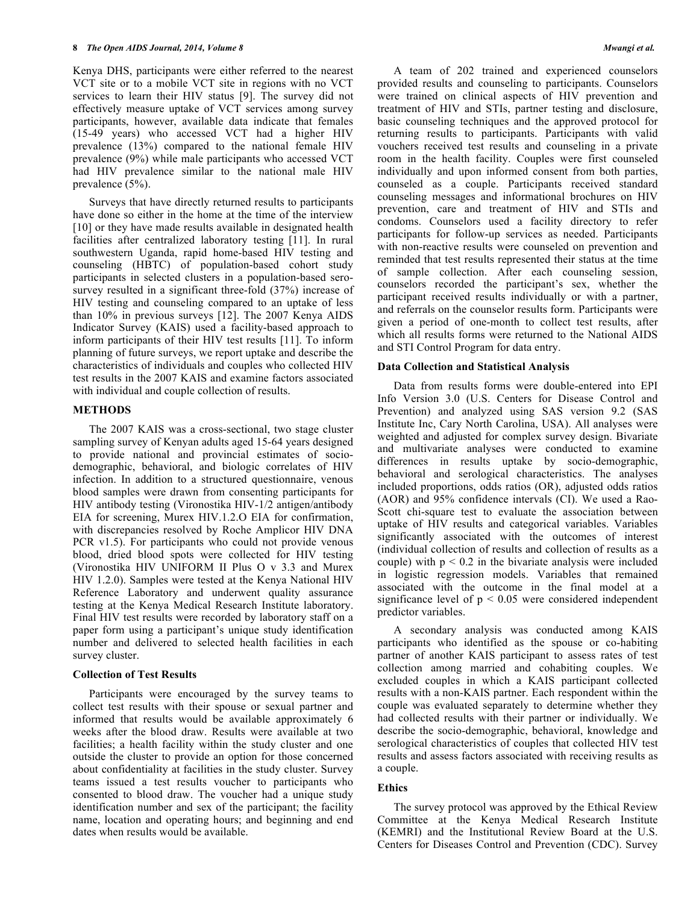Kenya DHS, participants were either referred to the nearest VCT site or to a mobile VCT site in regions with no VCT services to learn their HIV status [9]. The survey did not effectively measure uptake of VCT services among survey participants, however, available data indicate that females (15-49 years) who accessed VCT had a higher HIV prevalence (13%) compared to the national female HIV prevalence (9%) while male participants who accessed VCT had HIV prevalence similar to the national male HIV prevalence (5%).

Surveys that have directly returned results to participants have done so either in the home at the time of the interview [10] or they have made results available in designated health facilities after centralized laboratory testing [11]. In rural southwestern Uganda, rapid home-based HIV testing and counseling (HBTC) of population-based cohort study participants in selected clusters in a population-based serosurvey resulted in a significant three-fold  $(37%)$  increase of HIV testing and counseling compared to an uptake of less than 10% in previous surveys [12]. The 2007 Kenya AIDS Indicator Survey (KAIS) used a facility-based approach to inform participants of their HIV test results [11]. To inform planning of future surveys, we report uptake and describe the characteristics of individuals and couples who collected HIV test results in the 2007 KAIS and examine factors associated with individual and couple collection of results.

#### **METHODS**

The 2007 KAIS was a cross-sectional, two stage cluster sampling survey of Kenyan adults aged 15-64 years designed to provide national and provincial estimates of sociodemographic, behavioral, and biologic correlates of HIV infection. In addition to a structured questionnaire, venous blood samples were drawn from consenting participants for HIV antibody testing (Vironostika HIV-1/2 antigen/antibody EIA for screening, Murex HIV.1.2.O EIA for confirmation, with discrepancies resolved by Roche Amplicor HIV DNA PCR v1.5). For participants who could not provide venous blood, dried blood spots were collected for HIV testing (Vironostika HIV UNIFORM II Plus O v 3.3 and Murex HIV 1.2.0). Samples were tested at the Kenya National HIV Reference Laboratory and underwent quality assurance testing at the Kenya Medical Research Institute laboratory. Final HIV test results were recorded by laboratory staff on a paper form using a participant's unique study identification number and delivered to selected health facilities in each survey cluster.

## **Collection of Test Results**

Participants were encouraged by the survey teams to collect test results with their spouse or sexual partner and informed that results would be available approximately 6 weeks after the blood draw. Results were available at two facilities; a health facility within the study cluster and one outside the cluster to provide an option for those concerned about confidentiality at facilities in the study cluster. Survey teams issued a test results voucher to participants who consented to blood draw. The voucher had a unique study identification number and sex of the participant; the facility name, location and operating hours; and beginning and end dates when results would be available.

A team of 202 trained and experienced counselors provided results and counseling to participants. Counselors were trained on clinical aspects of HIV prevention and treatment of HIV and STIs, partner testing and disclosure, basic counseling techniques and the approved protocol for returning results to participants. Participants with valid vouchers received test results and counseling in a private room in the health facility. Couples were first counseled individually and upon informed consent from both parties, counseled as a couple. Participants received standard counseling messages and informational brochures on HIV prevention, care and treatment of HIV and STIs and condoms. Counselors used a facility directory to refer participants for follow-up services as needed. Participants with non-reactive results were counseled on prevention and reminded that test results represented their status at the time of sample collection. After each counseling session, counselors recorded the participant's sex, whether the participant received results individually or with a partner, and referrals on the counselor results form. Participants were given a period of one-month to collect test results, after which all results forms were returned to the National AIDS and STI Control Program for data entry.

#### **Data Collection and Statistical Analysis**

Data from results forms were double-entered into EPI Info Version 3.0 (U.S. Centers for Disease Control and Prevention) and analyzed using SAS version 9.2 (SAS Institute Inc, Cary North Carolina, USA). All analyses were weighted and adjusted for complex survey design. Bivariate and multivariate analyses were conducted to examine differences in results uptake by socio-demographic, behavioral and serological characteristics. The analyses included proportions, odds ratios (OR), adjusted odds ratios (AOR) and 95% confidence intervals (CI). We used a Rao-Scott chi-square test to evaluate the association between uptake of HIV results and categorical variables. Variables significantly associated with the outcomes of interest (individual collection of results and collection of results as a couple) with  $p < 0.2$  in the bivariate analysis were included in logistic regression models. Variables that remained associated with the outcome in the final model at a significance level of  $p < 0.05$  were considered independent predictor variables.

A secondary analysis was conducted among KAIS participants who identified as the spouse or co-habiting partner of another KAIS participant to assess rates of test collection among married and cohabiting couples. We excluded couples in which a KAIS participant collected results with a non-KAIS partner. Each respondent within the couple was evaluated separately to determine whether they had collected results with their partner or individually. We describe the socio-demographic, behavioral, knowledge and serological characteristics of couples that collected HIV test results and assess factors associated with receiving results as a couple.

## **Ethics**

The survey protocol was approved by the Ethical Review Committee at the Kenya Medical Research Institute (KEMRI) and the Institutional Review Board at the U.S. Centers for Diseases Control and Prevention (CDC). Survey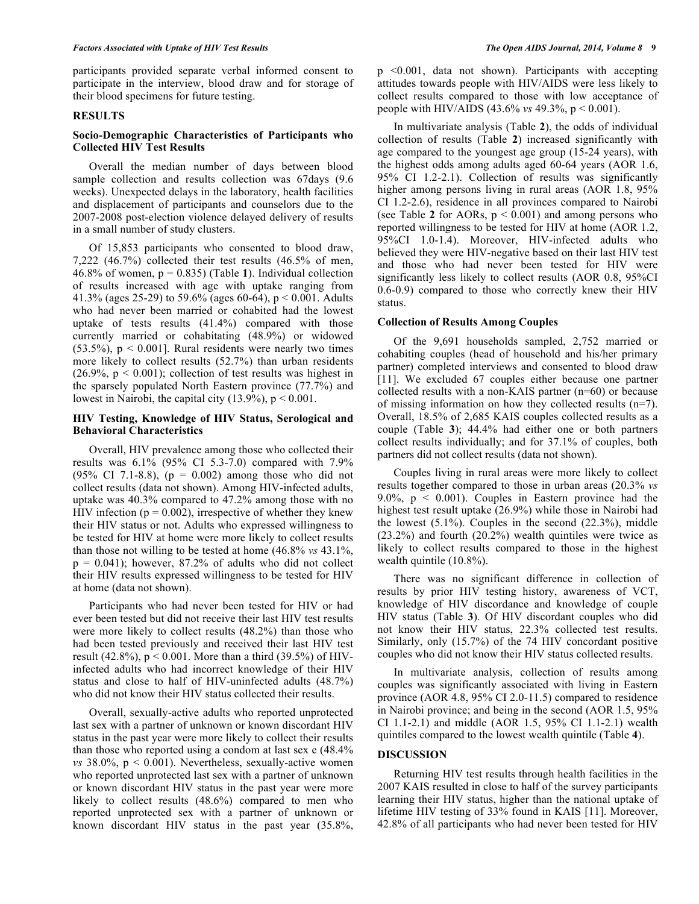participants provided separate verbal informed consent to participate in the interview, blood draw and for storage of their blood specimens for future testing.

#### **RESULTS**

#### **Socio-Demographic Characteristics of Participants who Collected HIV Test Results**

Overall the median number of days between blood sample collection and results collection was 67days (9.6 weeks). Unexpected delays in the laboratory, health facilities and displacement of participants and counselors due to the 2007-2008 post-election violence delayed delivery of results in a small number of study clusters.

Of 15,853 participants who consented to blood draw, 7,222 (46.7%) collected their test results (46.5% of men, 46.8% of women, p = 0.835) (Table **1**). Individual collection of results increased with age with uptake ranging from 41.3% (ages 25-29) to 59.6% (ages 60-64),  $p < 0.001$ . Adults who had never been married or cohabited had the lowest uptake of tests results (41.4%) compared with those currently married or cohabitating (48.9%) or widowed  $(53.5\%)$ ,  $p < 0.001$ ]. Rural residents were nearly two times more likely to collect results (52.7%) than urban residents  $(26.9\% \text{, } p \leq 0.001)$ ; collection of test results was highest in the sparsely populated North Eastern province (77.7%) and lowest in Nairobi, the capital city  $(13.9\%)$ ,  $p < 0.001$ .

#### **HIV Testing, Knowledge of HIV Status, Serological and Behavioral Characteristics**

Overall, HIV prevalence among those who collected their results was 6.1% (95% CI 5.3-7.0) compared with 7.9% (95% CI 7.1-8.8),  $(p = 0.002)$  among those who did not collect results (data not shown). Among HIV-infected adults, uptake was 40.3% compared to 47.2% among those with no HIV infection ( $p = 0.002$ ), irrespective of whether they knew their HIV status or not. Adults who expressed willingness to be tested for HIV at home were more likely to collect results than those not willing to be tested at home (46.8% *vs* 43.1%,  $p = 0.041$ ; however, 87.2% of adults who did not collect their HIV results expressed willingness to be tested for HIV at home (data not shown).

Participants who had never been tested for HIV or had ever been tested but did not receive their last HIV test results were more likely to collect results (48.2%) than those who had been tested previously and received their last HIV test result (42.8%),  $p < 0.001$ . More than a third (39.5%) of HIVinfected adults who had incorrect knowledge of their HIV status and close to half of HIV-uninfected adults (48.7%) who did not know their HIV status collected their results.

Overall, sexually-active adults who reported unprotected last sex with a partner of unknown or known discordant HIV status in the past year were more likely to collect their results than those who reported using a condom at last sex e (48.4% *vs*  $38.0\%$ ,  $p < 0.001$ ). Nevertheless, sexually-active women who reported unprotected last sex with a partner of unknown or known discordant HIV status in the past year were more likely to collect results (48.6%) compared to men who reported unprotected sex with a partner of unknown or known discordant HIV status in the past year (35.8%,

p <0.001, data not shown). Participants with accepting attitudes towards people with HIV/AIDS were less likely to collect results compared to those with low acceptance of people with HIV/AIDS (43.6% *vs* 49.3%, p < 0.001).

In multivariate analysis (Table **2**), the odds of individual collection of results (Table **2**) increased significantly with age compared to the youngest age group (15-24 years), with the highest odds among adults aged 60-64 years (AOR 1.6, 95% CI 1.2-2.1). Collection of results was significantly higher among persons living in rural areas (AOR 1.8, 95%) CI 1.2-2.6), residence in all provinces compared to Nairobi (see Table 2 for AORs,  $p < 0.001$ ) and among persons who reported willingness to be tested for HIV at home (AOR 1.2, 95%CI 1.0-1.4). Moreover, HIV-infected adults who believed they were HIV-negative based on their last HIV test and those who had never been tested for HIV were significantly less likely to collect results (AOR 0.8, 95%CI 0.6-0.9) compared to those who correctly knew their HIV status.

#### **Collection of Results Among Couples**

Of the 9,691 households sampled, 2,752 married or cohabiting couples (head of household and his/her primary partner) completed interviews and consented to blood draw [11]. We excluded 67 couples either because one partner collected results with a non-KAIS partner (n=60) or because of missing information on how they collected results (n=7). Overall, 18.5% of 2,685 KAIS couples collected results as a couple (Table **3**); 44.4% had either one or both partners collect results individually; and for 37.1% of couples, both partners did not collect results (data not shown).

Couples living in rural areas were more likely to collect results together compared to those in urban areas (20.3% *vs* 9.0%,  $p \le 0.001$ ). Couples in Eastern province had the highest test result uptake (26.9%) while those in Nairobi had the lowest  $(5.1\%)$ . Couples in the second  $(22.3\%)$ , middle (23.2%) and fourth (20.2%) wealth quintiles were twice as likely to collect results compared to those in the highest wealth quintile (10.8%).

There was no significant difference in collection of results by prior HIV testing history, awareness of VCT, knowledge of HIV discordance and knowledge of couple HIV status (Table **3**). Of HIV discordant couples who did not know their HIV status, 22.3% collected test results. Similarly, only (15.7%) of the 74 HIV concordant positive couples who did not know their HIV status collected results.

In multivariate analysis, collection of results among couples was significantly associated with living in Eastern province (AOR 4.8, 95% CI 2.0-11.5) compared to residence in Nairobi province; and being in the second (AOR 1.5, 95% CI 1.1-2.1) and middle (AOR 1.5, 95% CI 1.1-2.1) wealth quintiles compared to the lowest wealth quintile (Table **4**).

#### **DISCUSSION**

Returning HIV test results through health facilities in the 2007 KAIS resulted in close to half of the survey participants learning their HIV status, higher than the national uptake of lifetime HIV testing of 33% found in KAIS [11]. Moreover, 42.8% of all participants who had never been tested for HIV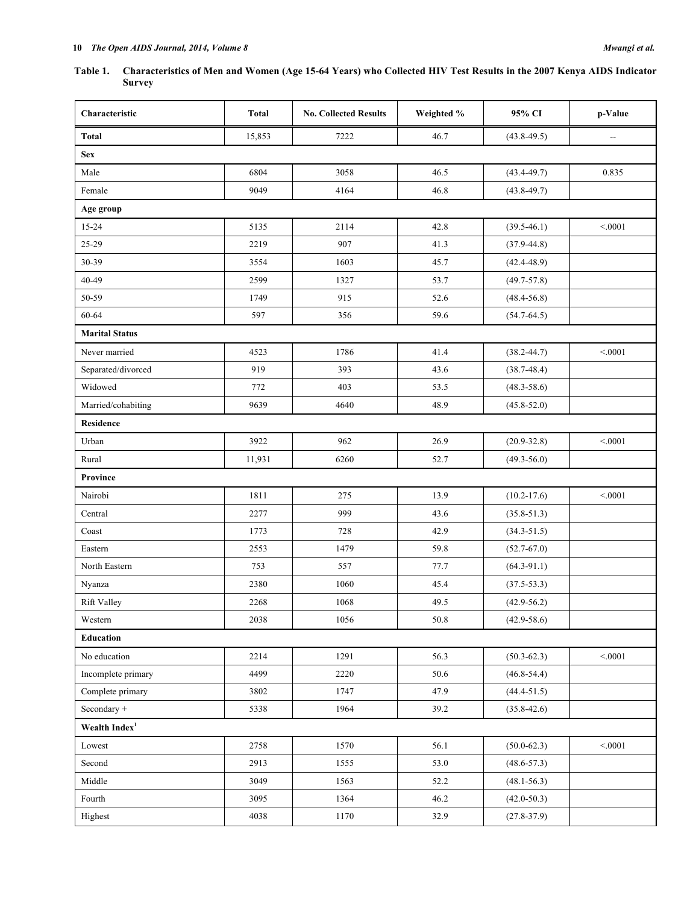## **Table 1. Characteristics of Men and Women (Age 15-64 Years) who Collected HIV Test Results in the 2007 Kenya AIDS Indicator Survey**

| Characteristic             | <b>Total</b> | <b>No. Collected Results</b> | Weighted % | 95% CI          | p-Value |  |
|----------------------------|--------------|------------------------------|------------|-----------------|---------|--|
| Total                      | 15,853       | 7222                         | 46.7       | $(43.8 - 49.5)$ |         |  |
| <b>Sex</b>                 |              |                              |            |                 |         |  |
| Male                       | 6804         | 3058                         | 46.5       | $(43.4 - 49.7)$ | 0.835   |  |
| Female                     | 9049         | 4164                         | 46.8       | $(43.8 - 49.7)$ |         |  |
| Age group                  |              |                              |            |                 |         |  |
| 15-24                      | 5135         | 2114                         | 42.8       | $(39.5 - 46.1)$ | < 0001  |  |
| 25-29                      | 2219         | 907                          | 41.3       | $(37.9 - 44.8)$ |         |  |
| 30-39                      | 3554         | 1603                         | 45.7       | $(42.4 - 48.9)$ |         |  |
| 40-49                      | 2599         | 1327                         | 53.7       | $(49.7 - 57.8)$ |         |  |
| 50-59                      | 1749         | 915                          | 52.6       | $(48.4 - 56.8)$ |         |  |
| 60-64                      | 597          | 356                          | 59.6       | $(54.7 - 64.5)$ |         |  |
| <b>Marital Status</b>      |              |                              |            |                 |         |  |
| Never married              | 4523         | 1786                         | 41.4       | $(38.2 - 44.7)$ | < 0.001 |  |
| Separated/divorced         | 919          | 393                          | 43.6       | $(38.7 - 48.4)$ |         |  |
| Widowed                    | 772          | 403                          | 53.5       | $(48.3 - 58.6)$ |         |  |
| Married/cohabiting         | 9639         | 4640                         | 48.9       | $(45.8 - 52.0)$ |         |  |
| Residence                  |              |                              |            |                 |         |  |
| Urban                      | 3922         | 962                          | 26.9       | $(20.9 - 32.8)$ | < 0001  |  |
| Rural                      | 11,931       | 6260                         | 52.7       | $(49.3 - 56.0)$ |         |  |
| <b>Province</b>            |              |                              |            |                 |         |  |
| Nairobi                    | 1811         | 275                          | 13.9       | $(10.2 - 17.6)$ | < 0.001 |  |
| Central                    | 2277         | 999                          | 43.6       | $(35.8 - 51.3)$ |         |  |
| Coast                      | 1773         | 728                          | 42.9       | $(34.3 - 51.5)$ |         |  |
| Eastern                    | 2553         | 1479                         | 59.8       | $(52.7 - 67.0)$ |         |  |
| North Eastern              | 753          | 557                          | 77.7       | $(64.3-91.1)$   |         |  |
| Nyanza                     | 2380         | 1060                         | 45.4       | $(37.5 - 53.3)$ |         |  |
| <b>Rift Valley</b>         | 2268         | 1068                         | 49.5       | $(42.9 - 56.2)$ |         |  |
| Western                    | 2038         | 1056                         | 50.8       | $(42.9 - 58.6)$ |         |  |
| Education                  |              |                              |            |                 |         |  |
| No education               | 2214         | 1291                         | 56.3       | $(50.3 - 62.3)$ | < 0.001 |  |
| Incomplete primary         | 4499         | 2220                         | 50.6       | $(46.8 - 54.4)$ |         |  |
| Complete primary           | 3802         | 1747                         | 47.9       | $(44.4 - 51.5)$ |         |  |
| Secondary $\hspace{0.1mm}$ | 5338         | 1964                         | 39.2       | $(35.8 - 42.6)$ |         |  |
| Wealth Index <sup>1</sup>  |              |                              |            |                 |         |  |
| Lowest                     | 2758         | 1570                         | 56.1       | $(50.0 - 62.3)$ | < 0.001 |  |
| Second                     | 2913         | 1555                         | 53.0       | $(48.6 - 57.3)$ |         |  |
| Middle                     | 3049         | 1563                         | 52.2       | $(48.1 - 56.3)$ |         |  |
| Fourth                     | 3095         | 1364                         | 46.2       | $(42.0 - 50.3)$ |         |  |
| Highest                    | 4038         | 1170                         | 32.9       | $(27.8 - 37.9)$ |         |  |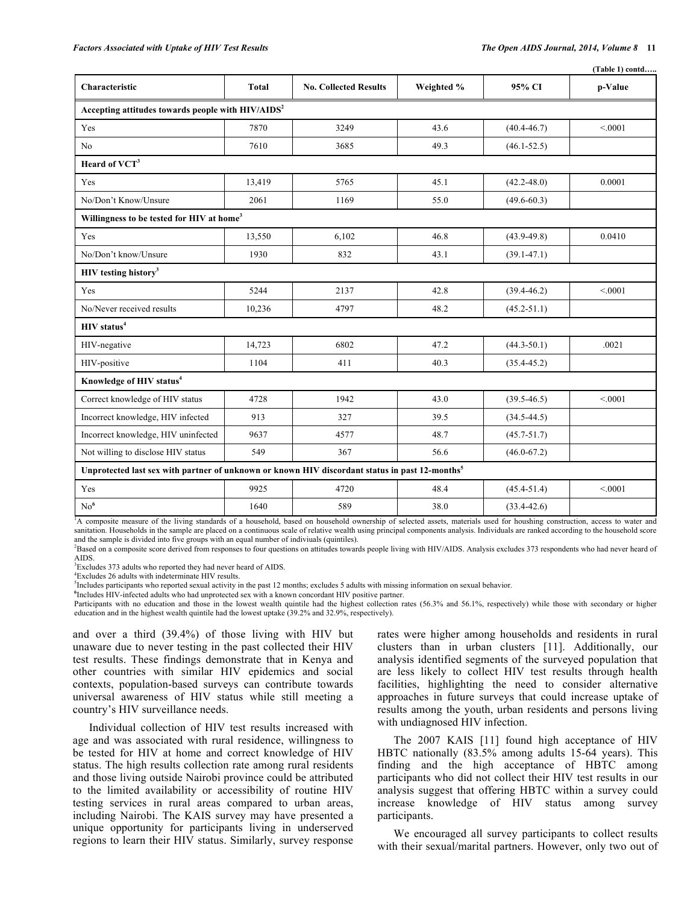|                                                                                                            |              |                              |            |                 | (Table 1) contd |  |
|------------------------------------------------------------------------------------------------------------|--------------|------------------------------|------------|-----------------|-----------------|--|
| Characteristic                                                                                             | <b>Total</b> | <b>No. Collected Results</b> | Weighted % | 95% CI          | p-Value         |  |
| Accepting attitudes towards people with HIV/AIDS <sup>2</sup>                                              |              |                              |            |                 |                 |  |
| Yes                                                                                                        | 7870         | 3249                         | 43.6       | $(40.4 - 46.7)$ | < 0001          |  |
| No                                                                                                         | 7610         | 3685                         | 49.3       | $(46.1 - 52.5)$ |                 |  |
| Heard of VCT <sup>3</sup>                                                                                  |              |                              |            |                 |                 |  |
| Yes                                                                                                        | 13,419       | 5765                         | 45.1       | $(42.2 - 48.0)$ | 0.0001          |  |
| No/Don't Know/Unsure                                                                                       | 2061         | 1169                         | 55.0       | $(49.6 - 60.3)$ |                 |  |
| Willingness to be tested for HIV at home <sup>3</sup>                                                      |              |                              |            |                 |                 |  |
| Yes                                                                                                        | 13,550       | 6,102                        | 46.8       | $(43.9 - 49.8)$ | 0.0410          |  |
| No/Don't know/Unsure                                                                                       | 1930         | 832                          | 43.1       | $(39.1 - 47.1)$ |                 |  |
| HIV testing history <sup>3</sup>                                                                           |              |                              |            |                 |                 |  |
| Yes                                                                                                        | 5244         | 2137                         | 42.8       | $(39.4 - 46.2)$ | < 0001          |  |
| No/Never received results                                                                                  | 10,236       | 4797                         | 48.2       | $(45.2 - 51.1)$ |                 |  |
| HIV status <sup>4</sup>                                                                                    |              |                              |            |                 |                 |  |
| HIV-negative                                                                                               | 14,723       | 6802                         | 47.2       | $(44.3 - 50.1)$ | .0021           |  |
| HIV-positive                                                                                               | 1104         | 411                          | 40.3       | $(35.4 - 45.2)$ |                 |  |
| Knowledge of HIV status <sup>4</sup>                                                                       |              |                              |            |                 |                 |  |
| Correct knowledge of HIV status                                                                            | 4728         | 1942                         | 43.0       | $(39.5 - 46.5)$ | < 0.001         |  |
| Incorrect knowledge, HIV infected                                                                          | 913          | 327                          | 39.5       | $(34.5 - 44.5)$ |                 |  |
| Incorrect knowledge, HIV uninfected                                                                        | 9637         | 4577                         | 48.7       | $(45.7 - 51.7)$ |                 |  |
| Not willing to disclose HIV status                                                                         | 549          | 367                          | 56.6       | $(46.0 - 67.2)$ |                 |  |
| Unprotected last sex with partner of unknown or known HIV discordant status in past 12-months <sup>5</sup> |              |                              |            |                 |                 |  |
| Yes                                                                                                        | 9925         | 4720                         | 48.4       | $(45.4 - 51.4)$ | < 0.001         |  |
| No <sup>6</sup>                                                                                            | 1640         | 589                          | 38.0       | $(33.4 - 42.6)$ |                 |  |

<sup>1</sup>A composite measure of the living standards of a household, based on household ownership of selected assets, materials used for houshing construction, access to water and sanitation. Households in the sample are placed on a continuous scale of relative wealth using principal components analysis. Individuals are ranked according to the household score and the sample is divided into five groups with an equal number of indiviuals (quintiles).

<sup>2</sup>Based on a composite score derived from responses to four questions on attitudes towards people living with HIV/AIDS. Analysis excludes 373 respondents who had never heard of AIDS.

<sup>3</sup>Excludes 373 adults who reported they had never heard of AIDS.

4 Excludes 26 adults with indeterminate HIV results.

<sup>5</sup>Includes participants who reported sexual activity in the past 12 months; excludes 5 adults with missing information on sexual behavior.

**6** Includes HIV-infected adults who had unprotected sex with a known concordant HIV positive partner.

Participants with no education and those in the lowest wealth quintile had the highest collection rates (56.3% and 56.1%, respectively) while those with secondary or higher education and in the highest wealth quintile had the lowest uptake (39.2% and 32.9%, respectively).

and over a third (39.4%) of those living with HIV but unaware due to never testing in the past collected their HIV test results. These findings demonstrate that in Kenya and other countries with similar HIV epidemics and social contexts, population-based surveys can contribute towards universal awareness of HIV status while still meeting a country's HIV surveillance needs.

Individual collection of HIV test results increased with age and was associated with rural residence, willingness to be tested for HIV at home and correct knowledge of HIV status. The high results collection rate among rural residents and those living outside Nairobi province could be attributed to the limited availability or accessibility of routine HIV testing services in rural areas compared to urban areas, including Nairobi. The KAIS survey may have presented a unique opportunity for participants living in underserved regions to learn their HIV status. Similarly, survey response rates were higher among households and residents in rural clusters than in urban clusters [11]. Additionally, our analysis identified segments of the surveyed population that are less likely to collect HIV test results through health facilities, highlighting the need to consider alternative approaches in future surveys that could increase uptake of results among the youth, urban residents and persons living with undiagnosed HIV infection.

The 2007 KAIS [11] found high acceptance of HIV HBTC nationally (83.5% among adults 15-64 years). This finding and the high acceptance of HBTC among participants who did not collect their HIV test results in our analysis suggest that offering HBTC within a survey could increase knowledge of HIV status among survey participants.

We encouraged all survey participants to collect results with their sexual/marital partners. However, only two out of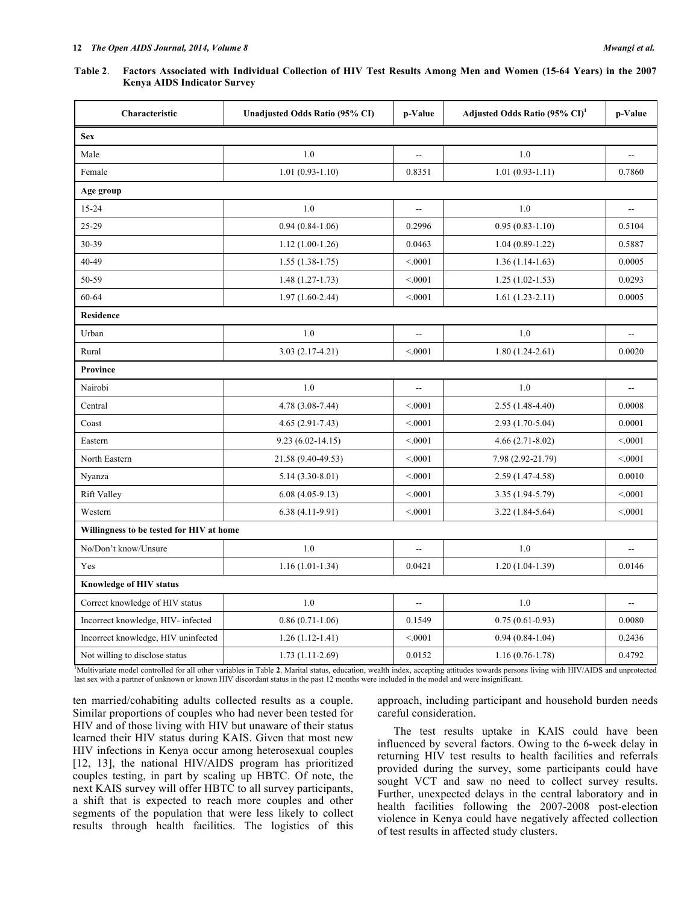| Characteristic                           | Unadjusted Odds Ratio (95% CI) | p-Value                  | Adjusted Odds Ratio (95% CI) <sup>1</sup> | p-Value                  |  |  |
|------------------------------------------|--------------------------------|--------------------------|-------------------------------------------|--------------------------|--|--|
| <b>Sex</b>                               |                                |                          |                                           |                          |  |  |
| Male                                     | 1.0                            | $\overline{\phantom{a}}$ | 1.0                                       | $\overline{\phantom{a}}$ |  |  |
| Female                                   | $1.01(0.93-1.10)$              | 0.8351                   | $1.01(0.93-1.11)$                         | 0.7860                   |  |  |
| Age group                                |                                |                          |                                           |                          |  |  |
| 15-24                                    | 1.0                            | $\overline{\phantom{a}}$ | 1.0                                       | $\overline{\phantom{a}}$ |  |  |
| 25-29                                    | $0.94(0.84-1.06)$              | 0.2996                   | $0.95(0.83 - 1.10)$                       | 0.5104                   |  |  |
| 30-39                                    | $1.12(1.00-1.26)$              | 0.0463                   | $1.04(0.89-1.22)$                         | 0.5887                   |  |  |
| 40-49                                    | $1.55(1.38-1.75)$              | < 0001                   | $1.36(1.14-1.63)$                         | 0.0005                   |  |  |
| 50-59                                    | $1.48(1.27-1.73)$              | < 0.001                  | $1.25(1.02-1.53)$                         | 0.0293                   |  |  |
| 60-64                                    | $1.97(1.60-2.44)$              | < 0.001                  | $1.61(1.23-2.11)$                         | 0.0005                   |  |  |
| <b>Residence</b>                         |                                |                          |                                           |                          |  |  |
| Urban                                    | 1.0                            | $\overline{a}$           | 1.0                                       |                          |  |  |
| Rural                                    | $3.03(2.17-4.21)$              | < 0.001                  | $1.80(1.24-2.61)$                         | 0.0020                   |  |  |
| <b>Province</b>                          |                                |                          |                                           |                          |  |  |
| Nairobi                                  | 1.0                            | $\overline{a}$           | 1.0                                       |                          |  |  |
| Central                                  | 4.78 (3.08-7.44)               | < 0001                   | $2.55(1.48-4.40)$                         | 0.0008                   |  |  |
| Coast                                    | $4.65(2.91 - 7.43)$            | < 0001                   | $2.93(1.70-5.04)$                         | 0.0001                   |  |  |
| Eastern                                  | $9.23(6.02 - 14.15)$           | < 0001                   | $4.66(2.71-8.02)$                         | < 0001                   |  |  |
| North Eastern                            | 21.58 (9.40-49.53)             | < 0001                   | 7.98 (2.92-21.79)                         | < 0001                   |  |  |
| Nyanza                                   | $5.14(3.30-8.01)$              | < 0001                   | 2.59 (1.47-4.58)                          | 0.0010                   |  |  |
| <b>Rift Valley</b>                       | $6.08(4.05-9.13)$              | < 0.001                  | 3.35 (1.94-5.79)                          | < 0001                   |  |  |
| Western                                  | $6.38(4.11-9.91)$              | < 0001                   | $3.22(1.84-5.64)$                         | < 0001                   |  |  |
| Willingness to be tested for HIV at home |                                |                          |                                           |                          |  |  |
| No/Don't know/Unsure                     | 1.0                            | $\overline{a}$           | 1.0                                       |                          |  |  |
| Yes                                      | $1.16(1.01-1.34)$              | 0.0421                   | $1.20(1.04-1.39)$                         | 0.0146                   |  |  |
| <b>Knowledge of HIV status</b>           |                                |                          |                                           |                          |  |  |
| Correct knowledge of HIV status          | 1.0                            | $\overline{\phantom{a}}$ | 1.0                                       | $\overline{\phantom{a}}$ |  |  |
| Incorrect knowledge, HIV- infected       | $0.86(0.71-1.06)$              | 0.1549                   | $0.75(0.61-0.93)$                         | 0.0080                   |  |  |
| Incorrect knowledge, HIV uninfected      | $1.26(1.12-1.41)$              | < 0001                   | $0.94(0.84-1.04)$                         | 0.2436                   |  |  |
| Not willing to disclose status           | $1.73(1.11-2.69)$              | 0.0152                   | $1.16(0.76-1.78)$                         | 0.4792                   |  |  |

1 Multivariate model controlled for all other variables in Table **2**. Marital status, education, wealth index, accepting attitudes towards persons living with HIV/AIDS and unprotected last sex with a partner of unknown or known HIV discordant status in the past 12 months were included in the model and were insignificant.

ten married/cohabiting adults collected results as a couple. Similar proportions of couples who had never been tested for HIV and of those living with HIV but unaware of their status learned their HIV status during KAIS. Given that most new HIV infections in Kenya occur among heterosexual couples [12, 13], the national HIV/AIDS program has prioritized couples testing, in part by scaling up HBTC. Of note, the next KAIS survey will offer HBTC to all survey participants, a shift that is expected to reach more couples and other segments of the population that were less likely to collect results through health facilities. The logistics of this approach, including participant and household burden needs careful consideration.

The test results uptake in KAIS could have been influenced by several factors. Owing to the 6-week delay in returning HIV test results to health facilities and referrals provided during the survey, some participants could have sought VCT and saw no need to collect survey results. Further, unexpected delays in the central laboratory and in health facilities following the 2007-2008 post-election violence in Kenya could have negatively affected collection of test results in affected study clusters.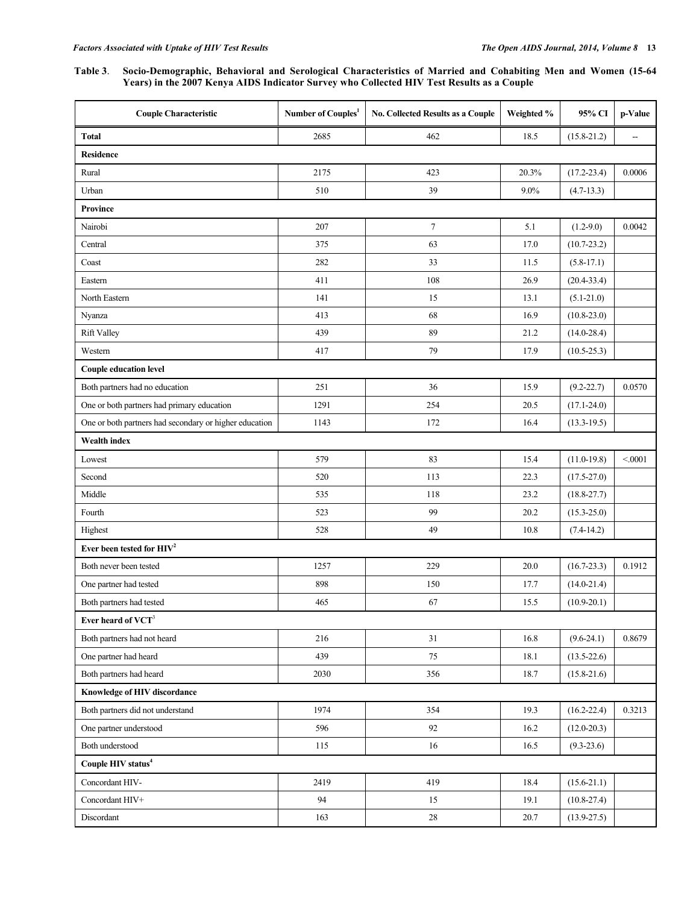#### **Table 3**. **Socio-Demographic, Behavioral and Serological Characteristics of Married and Cohabiting Men and Women (15-64 Years) in the 2007 Kenya AIDS Indicator Survey who Collected HIV Test Results as a Couple**

| <b>Couple Characteristic</b>                           | Number of Couples <sup>1</sup> | No. Collected Results as a Couple | Weighted % | 95% CI          | p-Value |  |  |  |
|--------------------------------------------------------|--------------------------------|-----------------------------------|------------|-----------------|---------|--|--|--|
| <b>Total</b>                                           | 2685                           | 462                               | 18.5       | $(15.8 - 21.2)$ | --      |  |  |  |
| <b>Residence</b>                                       |                                |                                   |            |                 |         |  |  |  |
| Rural                                                  | 2175                           | 423                               | 20.3%      | $(17.2 - 23.4)$ | 0.0006  |  |  |  |
| Urban                                                  | 510                            | 39                                | $9.0\%$    | $(4.7-13.3)$    |         |  |  |  |
| <b>Province</b>                                        |                                |                                   |            |                 |         |  |  |  |
| Nairobi                                                | 207                            | $\tau$                            | 5.1        | $(1.2-9.0)$     | 0.0042  |  |  |  |
| Central                                                | 375                            | 63                                | 17.0       | $(10.7 - 23.2)$ |         |  |  |  |
| Coast                                                  | 282                            | 33                                | 11.5       | $(5.8-17.1)$    |         |  |  |  |
| Eastern                                                | 411                            | 108                               | 26.9       | $(20.4 - 33.4)$ |         |  |  |  |
| North Eastern                                          | 141                            | 15                                | 13.1       | $(5.1 - 21.0)$  |         |  |  |  |
| Nyanza                                                 | 413                            | 68                                | 16.9       | $(10.8 - 23.0)$ |         |  |  |  |
| <b>Rift Valley</b>                                     | 439                            | 89                                | 21.2       | $(14.0 - 28.4)$ |         |  |  |  |
| Western                                                | 417                            | 79                                | 17.9       | $(10.5 - 25.3)$ |         |  |  |  |
| <b>Couple education level</b>                          |                                |                                   |            |                 |         |  |  |  |
| Both partners had no education                         | 251                            | 36                                | 15.9       | $(9.2 - 22.7)$  | 0.0570  |  |  |  |
| One or both partners had primary education             | 1291                           | 254                               | 20.5       | $(17.1 - 24.0)$ |         |  |  |  |
| One or both partners had secondary or higher education | 1143                           | 172                               | 16.4       | $(13.3-19.5)$   |         |  |  |  |
| <b>Wealth index</b>                                    |                                |                                   |            |                 |         |  |  |  |
| Lowest                                                 | 579                            | 83                                | 15.4       | $(11.0-19.8)$   | < 0001  |  |  |  |
| Second                                                 | 520                            | 113                               | 22.3       | $(17.5 - 27.0)$ |         |  |  |  |
| Middle                                                 | 535                            | 118                               | 23.2       | $(18.8 - 27.7)$ |         |  |  |  |
| Fourth                                                 | 523                            | 99                                | 20.2       | $(15.3 - 25.0)$ |         |  |  |  |
| Highest                                                | 528                            | 49                                | 10.8       | $(7.4-14.2)$    |         |  |  |  |
| Ever been tested for $HIV2$                            |                                |                                   |            |                 |         |  |  |  |
| Both never been tested                                 | 1257                           | 229                               | 20.0       | $(16.7 - 23.3)$ | 0.1912  |  |  |  |
| One partner had tested                                 | 898                            | 150                               | 17.7       | $(14.0 - 21.4)$ |         |  |  |  |
| Both partners had tested                               | 465                            | 67                                | 15.5       | $(10.9 - 20.1)$ |         |  |  |  |
| Ever heard of VCT <sup>3</sup>                         |                                |                                   |            |                 |         |  |  |  |
| Both partners had not heard                            | 216                            | 31                                | 16.8       | $(9.6-24.1)$    | 0.8679  |  |  |  |
| One partner had heard                                  | 439                            | 75                                | 18.1       | $(13.5 - 22.6)$ |         |  |  |  |
| Both partners had heard                                | 2030                           | 356                               | 18.7       | $(15.8 - 21.6)$ |         |  |  |  |
| Knowledge of HIV discordance                           |                                |                                   |            |                 |         |  |  |  |
| Both partners did not understand                       | 1974                           | 354                               | 19.3       | $(16.2 - 22.4)$ | 0.3213  |  |  |  |
| One partner understood                                 | 596                            | 92                                | 16.2       | $(12.0 - 20.3)$ |         |  |  |  |
| Both understood                                        | 115                            | 16                                | 16.5       | $(9.3 - 23.6)$  |         |  |  |  |
| Couple HIV status <sup>4</sup>                         |                                |                                   |            |                 |         |  |  |  |
| Concordant HIV-                                        | 2419                           | 419                               | 18.4       | $(15.6-21.1)$   |         |  |  |  |
| Concordant HIV+                                        | 94                             | 15                                | 19.1       | $(10.8 - 27.4)$ |         |  |  |  |
| Discordant                                             | 163                            | 28                                | 20.7       | $(13.9 - 27.5)$ |         |  |  |  |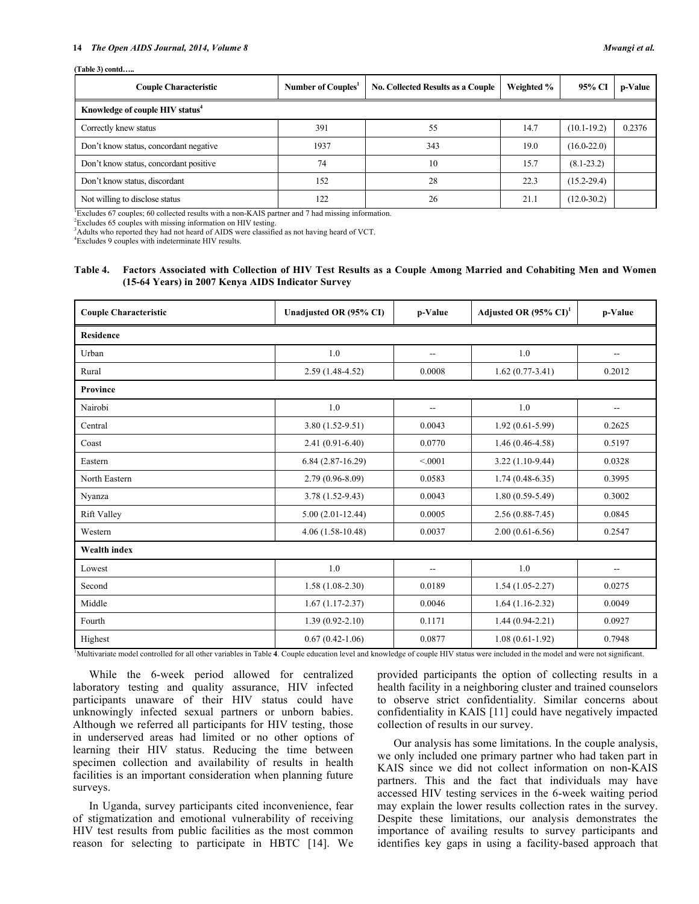#### **14** *The Open AIDS Journal, 2014, Volume 8 Mwangi et al.*

#### **(Table 3) contd…..**

| <b>Couple Characteristic</b>                | Number of Couples <sup>1</sup> | <b>No. Collected Results as a Couple</b> | Weighted % | 95% CI          | p-Value |  |  |
|---------------------------------------------|--------------------------------|------------------------------------------|------------|-----------------|---------|--|--|
| Knowledge of couple HIV status <sup>4</sup> |                                |                                          |            |                 |         |  |  |
| Correctly knew status                       | 391                            | 55                                       | 14.7       | $(10.1 - 19.2)$ | 0.2376  |  |  |
| Don't know status, concordant negative      | 1937                           | 343                                      | 19.0       | $(16.0 - 22.0)$ |         |  |  |
| Don't know status, concordant positive      | 74                             | 10                                       | 15.7       | $(8.1 - 23.2)$  |         |  |  |
| Don't know status, discordant               | 152                            | 28                                       | 22.3       | $(15.2 - 29.4)$ |         |  |  |
| Not willing to disclose status              | 122                            | 26                                       | 21.1       | $(12.0 - 30.2)$ |         |  |  |

1 Excludes 67 couples; 60 collected results with a non-KAIS partner and 7 had missing information.

<sup>2</sup>Excludes 65 couples with missing information on HIV testing.

<sup>3</sup> Adults who reported they had not heard of AIDS were classified as not having heard of VCT.

4 Excludes 9 couples with indeterminate HIV results.

#### **Table 4. Factors Associated with Collection of HIV Test Results as a Couple Among Married and Cohabiting Men and Women (15-64 Years) in 2007 Kenya AIDS Indicator Survey**

| <b>Couple Characteristic</b> | Unadjusted OR (95% CI) | p-Value                  | Adjusted OR $(95\% \text{ CI})^1$ | p-Value |  |  |
|------------------------------|------------------------|--------------------------|-----------------------------------|---------|--|--|
| <b>Residence</b>             |                        |                          |                                   |         |  |  |
| Urban                        | 1.0                    | $\overline{\phantom{a}}$ | 1.0                               | --      |  |  |
| Rural                        | $2.59(1.48-4.52)$      | 0.0008                   | $1.62(0.77-3.41)$                 | 0.2012  |  |  |
| <b>Province</b>              |                        |                          |                                   |         |  |  |
| Nairobi                      | 1.0                    | $\qquad \qquad -$        | 1.0                               | --      |  |  |
| Central                      | $3.80(1.52-9.51)$      | 0.0043                   | $1.92(0.61-5.99)$                 | 0.2625  |  |  |
| Coast                        | $2.41(0.91-6.40)$      | 0.0770                   | $1.46(0.46 - 4.58)$               | 0.5197  |  |  |
| Eastern                      | $6.84(2.87-16.29)$     | < 0001                   | $3.22(1.10-9.44)$                 | 0.0328  |  |  |
| North Eastern                | $2.79(0.96 - 8.09)$    | 0.0583                   | $1.74(0.48-6.35)$                 | 0.3995  |  |  |
| Nyanza                       | $3.78(1.52 - 9.43)$    | 0.0043                   | $1.80(0.59-5.49)$                 | 0.3002  |  |  |
| Rift Valley                  | $5.00(2.01-12.44)$     | 0.0005                   | $2.56(0.88-7.45)$                 | 0.0845  |  |  |
| Western                      | $4.06(1.58-10.48)$     | 0.0037                   | $2.00(0.61-6.56)$                 | 0.2547  |  |  |
| <b>Wealth index</b>          |                        |                          |                                   |         |  |  |
| Lowest                       | 1.0                    | $-$                      | 1.0                               |         |  |  |
| Second                       | $1.58(1.08-2.30)$      | 0.0189                   | $1.54(1.05-2.27)$                 | 0.0275  |  |  |
| Middle                       | $1.67(1.17-2.37)$      | 0.0046                   | $1.64(1.16-2.32)$                 | 0.0049  |  |  |
| Fourth                       | $1.39(0.92 - 2.10)$    | 0.1171                   | $1.44(0.94-2.21)$                 | 0.0927  |  |  |
| Highest                      | $0.67(0.42 - 1.06)$    | 0.0877                   | $1.08(0.61-1.92)$                 | 0.7948  |  |  |

1 Multivariate model controlled for all other variables in Table **4**. Couple education level and knowledge of couple HIV status were included in the model and were not significant.

While the 6-week period allowed for centralized laboratory testing and quality assurance, HIV infected participants unaware of their HIV status could have unknowingly infected sexual partners or unborn babies. Although we referred all participants for HIV testing, those in underserved areas had limited or no other options of learning their HIV status. Reducing the time between specimen collection and availability of results in health facilities is an important consideration when planning future surveys.

In Uganda, survey participants cited inconvenience, fear of stigmatization and emotional vulnerability of receiving HIV test results from public facilities as the most common reason for selecting to participate in HBTC [14]. We provided participants the option of collecting results in a health facility in a neighboring cluster and trained counselors to observe strict confidentiality. Similar concerns about confidentiality in KAIS [11] could have negatively impacted collection of results in our survey.

Our analysis has some limitations. In the couple analysis, we only included one primary partner who had taken part in KAIS since we did not collect information on non-KAIS partners. This and the fact that individuals may have accessed HIV testing services in the 6-week waiting period may explain the lower results collection rates in the survey. Despite these limitations, our analysis demonstrates the importance of availing results to survey participants and identifies key gaps in using a facility-based approach that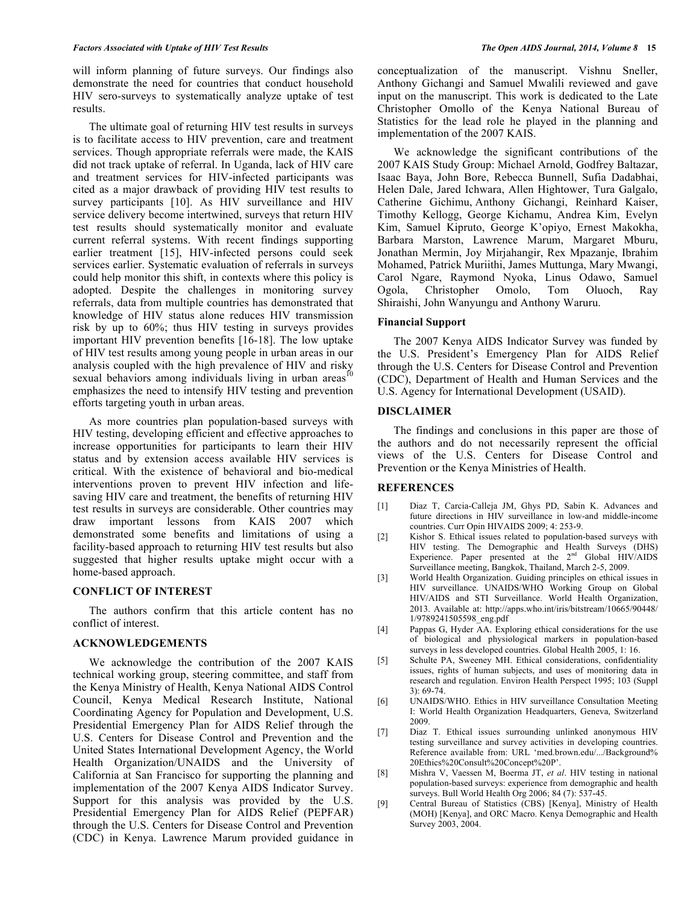will inform planning of future surveys. Our findings also demonstrate the need for countries that conduct household HIV sero-surveys to systematically analyze uptake of test results.

The ultimate goal of returning HIV test results in surveys is to facilitate access to HIV prevention, care and treatment services. Though appropriate referrals were made, the KAIS did not track uptake of referral. In Uganda, lack of HIV care and treatment services for HIV-infected participants was cited as a major drawback of providing HIV test results to survey participants [10]. As HIV surveillance and HIV service delivery become intertwined, surveys that return HIV test results should systematically monitor and evaluate current referral systems. With recent findings supporting earlier treatment [15], HIV-infected persons could seek services earlier. Systematic evaluation of referrals in surveys could help monitor this shift, in contexts where this policy is adopted. Despite the challenges in monitoring survey referrals, data from multiple countries has demonstrated that knowledge of HIV status alone reduces HIV transmission risk by up to 60%; thus HIV testing in surveys provides important HIV prevention benefits [16-18]. The low uptake of HIV test results among young people in urban areas in our analysis coupled with the high prevalence of HIV and risky sexual behaviors among individuals living in urban areas<sup>10</sup> emphasizes the need to intensify HIV testing and prevention efforts targeting youth in urban areas.

As more countries plan population-based surveys with HIV testing, developing efficient and effective approaches to increase opportunities for participants to learn their HIV status and by extension access available HIV services is critical. With the existence of behavioral and bio-medical interventions proven to prevent HIV infection and lifesaving HIV care and treatment, the benefits of returning HIV test results in surveys are considerable. Other countries may draw important lessons from KAIS 2007 which demonstrated some benefits and limitations of using a facility-based approach to returning HIV test results but also suggested that higher results uptake might occur with a home-based approach.

#### **CONFLICT OF INTEREST**

The authors confirm that this article content has no conflict of interest.

### **ACKNOWLEDGEMENTS**

We acknowledge the contribution of the 2007 KAIS technical working group, steering committee, and staff from the Kenya Ministry of Health, Kenya National AIDS Control Council, Kenya Medical Research Institute, National Coordinating Agency for Population and Development, U.S. Presidential Emergency Plan for AIDS Relief through the U.S. Centers for Disease Control and Prevention and the United States International Development Agency, the World Health Organization/UNAIDS and the University of California at San Francisco for supporting the planning and implementation of the 2007 Kenya AIDS Indicator Survey. Support for this analysis was provided by the U.S. Presidential Emergency Plan for AIDS Relief (PEPFAR) through the U.S. Centers for Disease Control and Prevention (CDC) in Kenya. Lawrence Marum provided guidance in

conceptualization of the manuscript. Vishnu Sneller, Anthony Gichangi and Samuel Mwalili reviewed and gave input on the manuscript. This work is dedicated to the Late Christopher Omollo of the Kenya National Bureau of Statistics for the lead role he played in the planning and implementation of the 2007 KAIS.

We acknowledge the significant contributions of the 2007 KAIS Study Group: Michael Arnold, Godfrey Baltazar, Isaac Baya, John Bore, Rebecca Bunnell, Sufia Dadabhai, Helen Dale, Jared Ichwara, Allen Hightower, Tura Galgalo, Catherine Gichimu, Anthony Gichangi, Reinhard Kaiser, Timothy Kellogg, George Kichamu, Andrea Kim, Evelyn Kim, Samuel Kipruto, George K'opiyo, Ernest Makokha, Barbara Marston, Lawrence Marum, Margaret Mburu, Jonathan Mermin, Joy Mirjahangir, Rex Mpazanje, Ibrahim Mohamed, Patrick Muriithi, James Muttunga, Mary Mwangi, Carol Ngare, Raymond Nyoka, Linus Odawo, Samuel Ogola, Christopher Omolo, Tom Oluoch, Ray Shiraishi, John Wanyungu and Anthony Waruru.

#### **Financial Support**

The 2007 Kenya AIDS Indicator Survey was funded by the U.S. President's Emergency Plan for AIDS Relief through the U.S. Centers for Disease Control and Prevention (CDC), Department of Health and Human Services and the U.S. Agency for International Development (USAID).

#### **DISCLAIMER**

The findings and conclusions in this paper are those of the authors and do not necessarily represent the official views of the U.S. Centers for Disease Control and Prevention or the Kenya Ministries of Health.

### **REFERENCES**

- [1] Diaz T, Carcia-Calleja JM, Ghys PD, Sabin K. Advances and future directions in HIV surveillance in low-and middle-income countries. Curr Opin HIVAIDS 2009; 4: 253-9.
- [2] Kishor S. Ethical issues related to population-based surveys with HIV testing. The Demographic and Health Surveys (DHS) Experience. Paper presented at the  $2<sup>nd</sup>$  Global HIV/AIDS Surveillance meeting, Bangkok, Thailand, March 2-5, 2009.
- [3] World Health Organization. Guiding principles on ethical issues in HIV surveillance. UNAIDS/WHO Working Group on Global HIV/AIDS and STI Surveillance. World Health Organization, 2013. Available at: http://apps.who.int/iris/bitstream/10665/90448/ 1/9789241505598\_eng.pdf
- [4] Pappas G, Hyder AA. Exploring ethical considerations for the use of biological and physiological markers in population-based surveys in less developed countries. Global Health 2005, 1: 16.
- [5] Schulte PA, Sweeney MH. Ethical considerations, confidentiality issues, rights of human subjects, and uses of monitoring data in research and regulation. Environ Health Perspect 1995; 103 (Suppl 3): 69-74.
- [6] UNAIDS/WHO. Ethics in HIV surveillance Consultation Meeting I: World Health Organization Headquarters, Geneva, Switzerland 2009.
- [7] Diaz T. Ethical issues surrounding unlinked anonymous HIV testing surveillance and survey activities in developing countries. Reference available from: URL 'med.brown.edu/.../Background% 20Ethics%20Consult%20Concept%20P'.
- [8] Mishra V, Vaessen M, Boerma JT, *et al*. HIV testing in national population-based surveys: experience from demographic and health surveys. Bull World Health Org 2006; 84 (7): 537-45.
- [9] Central Bureau of Statistics (CBS) [Kenya], Ministry of Health (MOH) [Kenya], and ORC Macro. Kenya Demographic and Health Survey 2003, 2004.